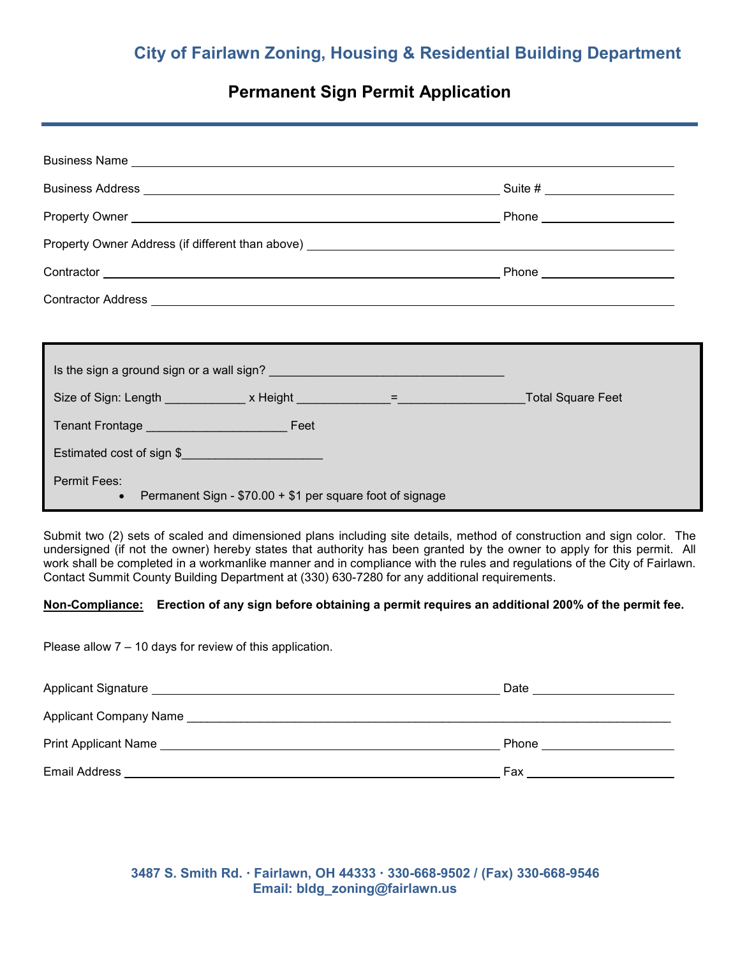## **Permanent Sign Permit Application**

| Is the sign a ground sign or a wall sign?<br><u> and the sign a ground sign or a wall sign?</u> |  |  |  |  |  |
|-------------------------------------------------------------------------------------------------|--|--|--|--|--|
|                                                                                                 |  |  |  |  |  |
|                                                                                                 |  |  |  |  |  |
| Estimated cost of sign \$                                                                       |  |  |  |  |  |
| <b>Permit Fees:</b><br>Permanent Sign - \$70.00 + \$1 per square foot of signage<br>$\bullet$   |  |  |  |  |  |

Submit two (2) sets of scaled and dimensioned plans including site details, method of construction and sign color. The undersigned (if not the owner) hereby states that authority has been granted by the owner to apply for this permit. All work shall be completed in a workmanlike manner and in compliance with the rules and regulations of the City of Fairlawn. Contact Summit County Building Department at (330) 630-7280 for any additional requirements.

## **Non-Compliance: Erection of any sign before obtaining a permit requires an additional 200% of the permit fee.**

Please allow 7 – 10 days for review of this application.

| Applicant Signature Manuscript Applicant Signature   | Date                                                                                                           |
|------------------------------------------------------|----------------------------------------------------------------------------------------------------------------|
| Applicant Company Name <b>Applicant</b> Company Name |                                                                                                                |
| <b>Print Applicant Name Example 2018</b>             | Phone that the contract of the contract of the contract of the contract of the contract of the contract of the |
| Email Address                                        | Fax                                                                                                            |

 **3487 S. Smith Rd. Fairlawn, OH 44333 330-668-9502 / (Fax) 330-668-9546 Email: bldg\_zoning@fairlawn.us**